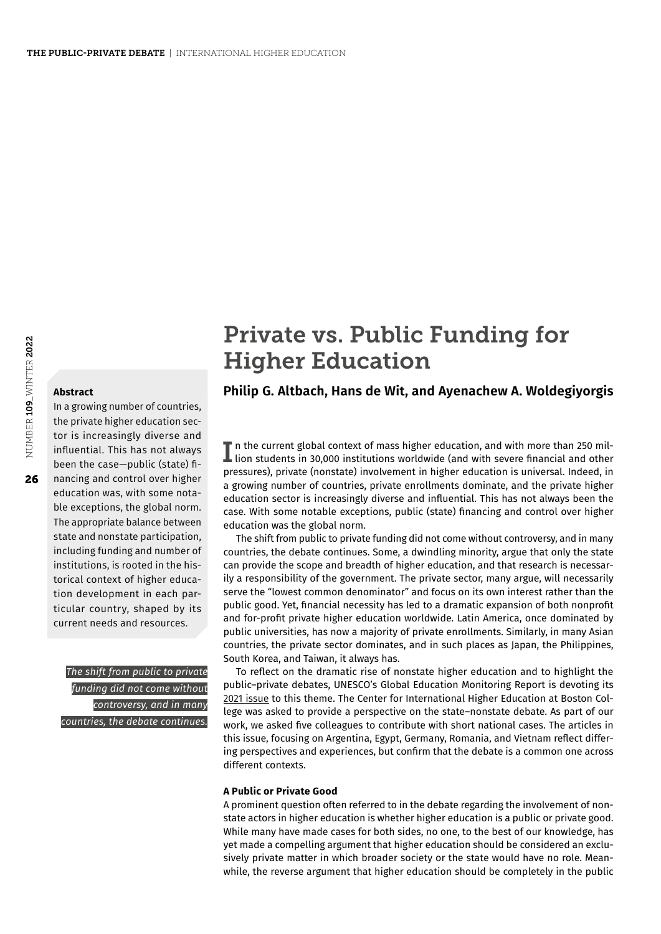26

## **Abstract**

In a growing number of countries, the private higher education sector is increasingly diverse and influential. This has not always been the case—public (state) financing and control over higher education was, with some notable exceptions, the global norm. The appropriate balance between state and nonstate participation, including funding and number of institutions, is rooted in the historical context of higher education development in each particular country, shaped by its current needs and resources.

*The shift from public to private funding did not come without controversy, and in many countries, the debate continues.*

# Private vs. Public Funding for Higher Education

### **Philip G. Altbach, Hans de Wit, and Ayenachew A. Woldegiyorgis**

In the current global context of mass higher education, and with more than 250 million students in 30,000 institutions worldwide (and with severe financial and other lion students in 30,000 institutions worldwide (and with severe financial and other pressures), private (nonstate) involvement in higher education is universal. Indeed, in a growing number of countries, private enrollments dominate, and the private higher education sector is increasingly diverse and influential. This has not always been the case. With some notable exceptions, public (state) financing and control over higher education was the global norm.

The shift from public to private funding did not come without controversy, and in many countries, the debate continues. Some, a dwindling minority, argue that only the state can provide the scope and breadth of higher education, and that research is necessarily a responsibility of the government. The private sector, many argue, will necessarily serve the "lowest common denominator" and focus on its own interest rather than the public good. Yet, financial necessity has led to a dramatic expansion of both nonprofit and for-profit private higher education worldwide. Latin America, once dominated by public universities, has now a majority of private enrollments. Similarly, in many Asian countries, the private sector dominates, and in such places as Japan, the Philippines, South Korea, and Taiwan, it always has.

To reflect on the dramatic rise of nonstate higher education and to highlight the public–private debates, UNESCO's Global Education Monitoring Report is devoting its [2021 issue](https://en.unesco.org/gem-report/non-state_actors) to this theme. The Center for International Higher Education at Boston College was asked to provide a perspective on the state–nonstate debate. As part of our work, we asked five colleagues to contribute with short national cases. The articles in this issue, focusing on Argentina, Egypt, Germany, Romania, and Vietnam reflect differing perspectives and experiences, but confirm that the debate is a common one across different contexts.

#### **A Public or Private Good**

A prominent question often referred to in the debate regarding the involvement of nonstate actors in higher education is whether higher education is a public or private good. While many have made cases for both sides, no one, to the best of our knowledge, has yet made a compelling argument that higher education should be considered an exclusively private matter in which broader society or the state would have no role. Meanwhile, the reverse argument that higher education should be completely in the public